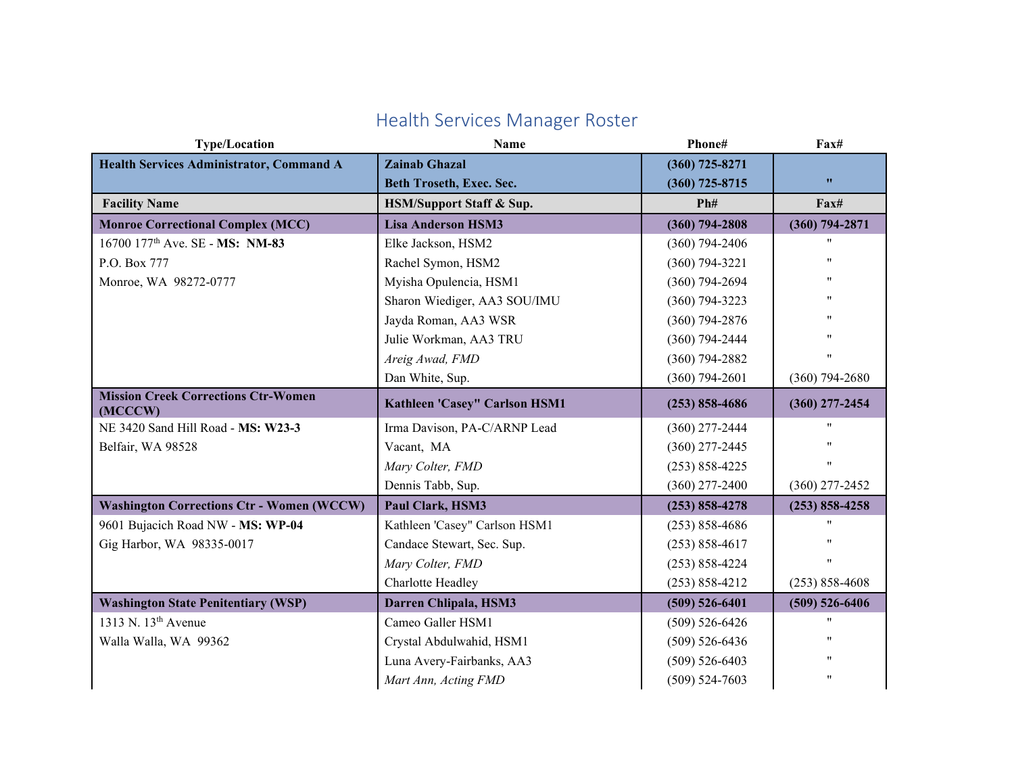| <b>Type/Location</b>                                  | Name                          | Phone#             | Fax#                                 |
|-------------------------------------------------------|-------------------------------|--------------------|--------------------------------------|
| <b>Health Services Administrator, Command A</b>       | <b>Zainab Ghazal</b>          | $(360)$ 725-8271   |                                      |
|                                                       | Beth Troseth, Exec. Sec.      | $(360)$ 725-8715   | $\pmb{\mathcal{W}}$                  |
| <b>Facility Name</b>                                  | HSM/Support Staff & Sup.      | Ph#                | $\mathbf{F} \mathbf{a} \mathbf{x}$ # |
| <b>Monroe Correctional Complex (MCC)</b>              | <b>Lisa Anderson HSM3</b>     | $(360) 794 - 2808$ | $(360)$ 794-2871                     |
| 16700 177 <sup>th</sup> Ave. SE - MS: NM-83           | Elke Jackson, HSM2            | $(360)$ 794-2406   | 11                                   |
| P.O. Box 777                                          | Rachel Symon, HSM2            | $(360)$ 794-3221   | "                                    |
| Monroe, WA 98272-0777                                 | Myisha Opulencia, HSM1        | $(360)$ 794-2694   | $\pmb{\mathsf{H}}$                   |
|                                                       | Sharon Wiediger, AA3 SOU/IMU  | $(360)$ 794-3223   | 11                                   |
|                                                       | Jayda Roman, AA3 WSR          | $(360)$ 794-2876   | 11                                   |
|                                                       | Julie Workman, AA3 TRU        | $(360)$ 794-2444   | 11                                   |
|                                                       | Areig Awad, FMD               | $(360)$ 794-2882   | $^{\prime\prime}$                    |
|                                                       | Dan White, Sup.               | $(360)$ 794-2601   | $(360)$ 794-2680                     |
| <b>Mission Creek Corrections Ctr-Women</b><br>(MCCCW) | Kathleen 'Casey" Carlson HSM1 | $(253) 858 - 4686$ | $(360)$ 277-2454                     |
| NE 3420 Sand Hill Road - MS: W23-3                    | Irma Davison, PA-C/ARNP Lead  | $(360)$ 277-2444   |                                      |
| Belfair, WA 98528                                     | Vacant, MA                    | $(360)$ 277-2445   | $^{\prime\prime}$                    |
|                                                       | Mary Colter, FMD              | $(253) 858 - 4225$ | 11                                   |
|                                                       | Dennis Tabb, Sup.             | $(360)$ 277-2400   | $(360)$ 277-2452                     |
| <b>Washington Corrections Ctr - Women (WCCW)</b>      | Paul Clark, HSM3              | $(253) 858 - 4278$ | $(253) 858 - 4258$                   |
| 9601 Bujacich Road NW - MS: WP-04                     | Kathleen 'Casey" Carlson HSM1 | $(253)$ 858-4686   | 11                                   |
| Gig Harbor, WA 98335-0017                             | Candace Stewart, Sec. Sup.    | $(253) 858 - 4617$ | 11                                   |
|                                                       | Mary Colter, FMD              | $(253) 858 - 4224$ | $^{\prime\prime}$                    |
|                                                       | Charlotte Headley             | $(253) 858 - 4212$ | $(253) 858 - 4608$                   |
| <b>Washington State Penitentiary (WSP)</b>            | Darren Chlipala, HSM3         | $(509) 526 - 6401$ | $(509) 526 - 6406$                   |
| 1313 N. $13th$ Avenue                                 | Cameo Galler HSM1             | $(509) 526 - 6426$ | $^{\prime\prime}$                    |
| Walla Walla, WA 99362                                 | Crystal Abdulwahid, HSM1      | $(509) 526 - 6436$ | 11                                   |
|                                                       | Luna Avery-Fairbanks, AA3     | $(509) 526 - 6403$ | 11                                   |
|                                                       | Mart Ann, Acting FMD          | $(509) 524 - 7603$ | 11                                   |

## Health Services Manager Roster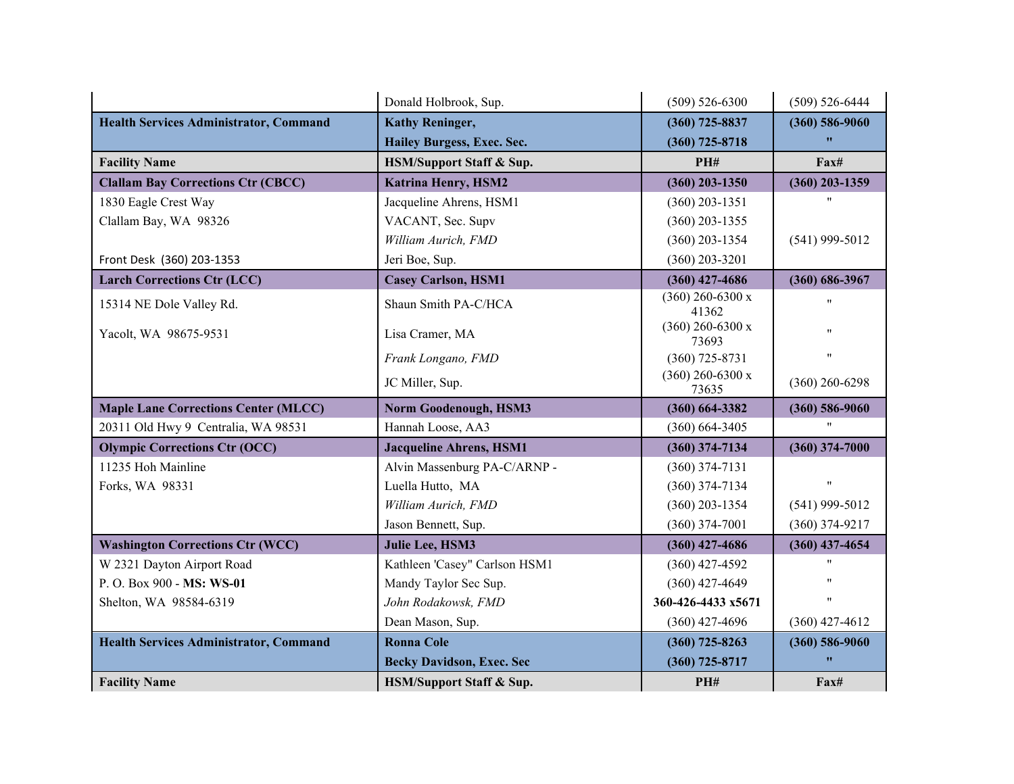|                                               | Donald Holbrook, Sup.               | $(509) 526 - 6300$          | $(509) 526 - 6444$ |
|-----------------------------------------------|-------------------------------------|-----------------------------|--------------------|
| <b>Health Services Administrator, Command</b> | <b>Kathy Reninger,</b>              | $(360)$ 725-8837            | $(360) 586 - 9060$ |
|                                               | Hailey Burgess, Exec. Sec.          | $(360)$ 725-8718            | $\bullet$          |
| <b>Facility Name</b>                          | <b>HSM/Support Staff &amp; Sup.</b> | PH#                         | Fax#               |
| <b>Clallam Bay Corrections Ctr (CBCC)</b>     | <b>Katrina Henry, HSM2</b>          | $(360)$ 203-1350            | $(360)$ 203-1359   |
| 1830 Eagle Crest Way                          | Jacqueline Ahrens, HSM1             | $(360)$ 203-1351            |                    |
| Clallam Bay, WA 98326                         | VACANT, Sec. Supv                   | $(360)$ 203-1355            |                    |
|                                               | William Aurich, FMD                 | $(360)$ 203-1354            | $(541)$ 999-5012   |
| Front Desk (360) 203-1353                     | Jeri Boe, Sup.                      | $(360)$ 203-3201            |                    |
| <b>Larch Corrections Ctr (LCC)</b>            | <b>Casey Carlson, HSM1</b>          | $(360)$ 427-4686            | $(360) 686 - 3967$ |
| 15314 NE Dole Valley Rd.                      | Shaun Smith PA-C/HCA                | $(360)$ 260-6300 x<br>41362 | $^{\prime\prime}$  |
| Yacolt, WA 98675-9531                         | Lisa Cramer, MA                     | $(360)$ 260-6300 x<br>73693 | 11                 |
|                                               | Frank Longano, FMD                  | $(360)$ 725-8731            | 11                 |
|                                               | JC Miller, Sup.                     | $(360)$ 260-6300 x<br>73635 | $(360)$ 260-6298   |
|                                               |                                     |                             |                    |
| <b>Maple Lane Corrections Center (MLCC)</b>   | <b>Norm Goodenough, HSM3</b>        | $(360) 664 - 3382$          | $(360) 586 - 9060$ |
| 20311 Old Hwy 9 Centralia, WA 98531           | Hannah Loose, AA3                   | $(360) 664 - 3405$          |                    |
| <b>Olympic Corrections Ctr (OCC)</b>          | <b>Jacqueline Ahrens, HSM1</b>      | $(360)$ 374-7134            | $(360)$ 374-7000   |
| 11235 Hoh Mainline                            | Alvin Massenburg PA-C/ARNP -        | $(360)$ 374-7131            |                    |
| Forks, WA 98331                               | Luella Hutto, MA                    | $(360)$ 374-7134            | $^{\prime\prime}$  |
|                                               | William Aurich, FMD                 | $(360)$ 203-1354            | $(541)$ 999-5012   |
|                                               | Jason Bennett, Sup.                 | $(360)$ 374-7001            | $(360)$ 374-9217   |
| <b>Washington Corrections Ctr (WCC)</b>       | Julie Lee, HSM3                     | $(360)$ 427-4686            | $(360)$ 437-4654   |
| W 2321 Dayton Airport Road                    | Kathleen 'Casey" Carlson HSM1       | $(360)$ 427-4592            |                    |
| P.O. Box 900 - MS: WS-01                      | Mandy Taylor Sec Sup.               | $(360)$ 427-4649            |                    |
| Shelton, WA 98584-6319                        | John Rodakowsk, FMD                 | 360-426-4433 x5671          | $^{\prime\prime}$  |
|                                               | Dean Mason, Sup.                    | $(360)$ 427-4696            | $(360)$ 427-4612   |
| <b>Health Services Administrator, Command</b> | <b>Ronna Cole</b>                   | $(360)$ 725-8263            | $(360) 586 - 9060$ |
|                                               | <b>Becky Davidson, Exec. Sec</b>    | $(360)$ 725-8717            | w                  |